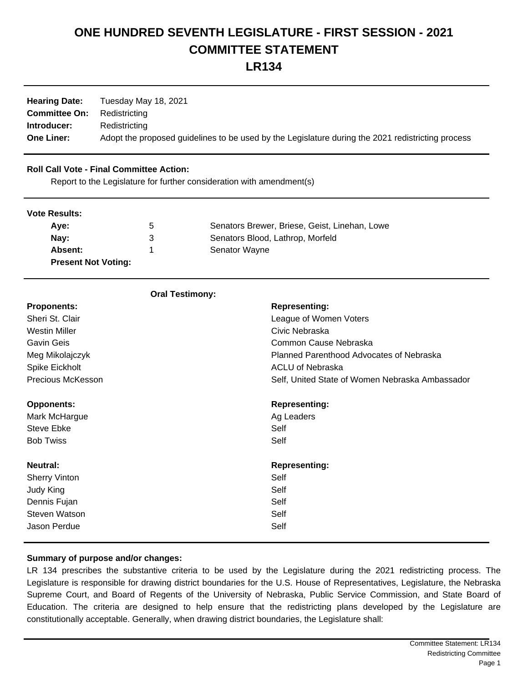## **ONE HUNDRED SEVENTH LEGISLATURE - FIRST SESSION - 2021 COMMITTEE STATEMENT**

**LR134**

| <b>Hearing Date:</b><br><b>Committee On:</b> | Tuesday May 18, 2021<br>Redistricting                                                             |
|----------------------------------------------|---------------------------------------------------------------------------------------------------|
| Introducer:                                  | Redistricting                                                                                     |
| <b>One Liner:</b>                            | Adopt the proposed guidelines to be used by the Legislature during the 2021 redistricting process |

## **Roll Call Vote - Final Committee Action:**

Report to the Legislature for further consideration with amendment(s)

**Oral Testimony:**

| <b>Vote Results:</b>       |             |                                               |  |
|----------------------------|-------------|-----------------------------------------------|--|
| Ave:                       | $\mathbf b$ | Senators Brewer, Briese, Geist, Linehan, Lowe |  |
| Nay:                       | 3           | Senators Blood, Lathrop, Morfeld              |  |
| Absent:                    |             | Senator Wayne                                 |  |
| <b>Present Not Voting:</b> |             |                                               |  |

| <b>Oral Testimony:</b> |                                                 |
|------------------------|-------------------------------------------------|
| <b>Proponents:</b>     | <b>Representing:</b>                            |
| Sheri St. Clair        | League of Women Voters                          |
| <b>Westin Miller</b>   | Civic Nebraska                                  |
| Gavin Geis             | Common Cause Nebraska                           |
| Meg Mikolajczyk        | Planned Parenthood Advocates of Nebraska        |
| Spike Eickholt         | <b>ACLU of Nebraska</b>                         |
| Precious McKesson      | Self, United State of Women Nebraska Ambassador |
| <b>Opponents:</b>      | <b>Representing:</b>                            |
| Mark McHargue          | Ag Leaders                                      |
| Steve Ebke             | Self                                            |
| <b>Bob Twiss</b>       | Self                                            |
| <b>Neutral:</b>        | <b>Representing:</b>                            |
| <b>Sherry Vinton</b>   | Self                                            |
| Judy King              | Self                                            |
| Dennis Fujan           | Self                                            |
| <b>Steven Watson</b>   | Self                                            |
| Jason Perdue           | Self                                            |

## **Summary of purpose and/or changes:**

LR 134 prescribes the substantive criteria to be used by the Legislature during the 2021 redistricting process. The Legislature is responsible for drawing district boundaries for the U.S. House of Representatives, Legislature, the Nebraska Supreme Court, and Board of Regents of the University of Nebraska, Public Service Commission, and State Board of Education. The criteria are designed to help ensure that the redistricting plans developed by the Legislature are constitutionally acceptable. Generally, when drawing district boundaries, the Legislature shall: